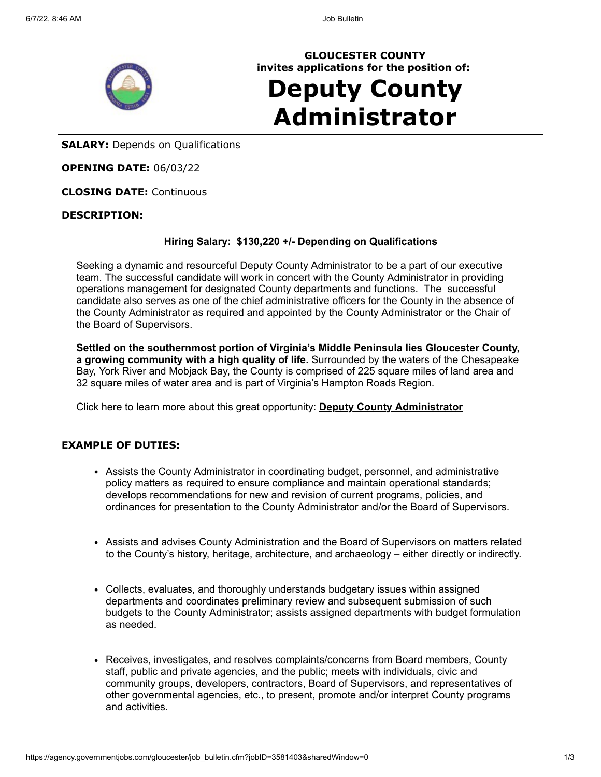

**GLOUCESTER COUNTY invites applications for the position of:**

# **Deputy County Administrator**

**SALARY:** Depends on Qualifications

**OPENING DATE:** 06/03/22

**CLOSING DATE:** Continuous

# **DESCRIPTION:**

# **Hiring Salary: \$130,220 +/- Depending on Qualifications**

Seeking a dynamic and resourceful Deputy County Administrator to be a part of our executive team. The successful candidate will work in concert with the County Administrator in providing operations management for designated County departments and functions. The successful candidate also serves as one of the chief administrative officers for the County in the absence of the County Administrator as required and appointed by the County Administrator or the Chair of the Board of Supervisors.

**Settled on the southernmost portion of Virginia's Middle Peninsula lies Gloucester County, a growing community with a high quality of life.** Surrounded by the waters of the Chesapeake Bay, York River and Mobjack Bay, the County is comprised of 225 square miles of land area and 32 square miles of water area and is part of Virginia's Hampton Roads Region.

Click here to learn more about this great opportunity: **[Deputy County Administrator](https://www.gloucesterva.info/DocumentCenter/View/13396/Deputy-County-Administrator-Brochure-062022)**

#### **EXAMPLE OF DUTIES:**

- Assists the County Administrator in coordinating budget, personnel, and administrative policy matters as required to ensure compliance and maintain operational standards; develops recommendations for new and revision of current programs, policies, and ordinances for presentation to the County Administrator and/or the Board of Supervisors.
- Assists and advises County Administration and the Board of Supervisors on matters related to the County's history, heritage, architecture, and archaeology – either directly or indirectly.
- Collects, evaluates, and thoroughly understands budgetary issues within assigned departments and coordinates preliminary review and subsequent submission of such budgets to the County Administrator; assists assigned departments with budget formulation as needed.
- Receives, investigates, and resolves complaints/concerns from Board members, County staff, public and private agencies, and the public; meets with individuals, civic and community groups, developers, contractors, Board of Supervisors, and representatives of other governmental agencies, etc., to present, promote and/or interpret County programs and activities.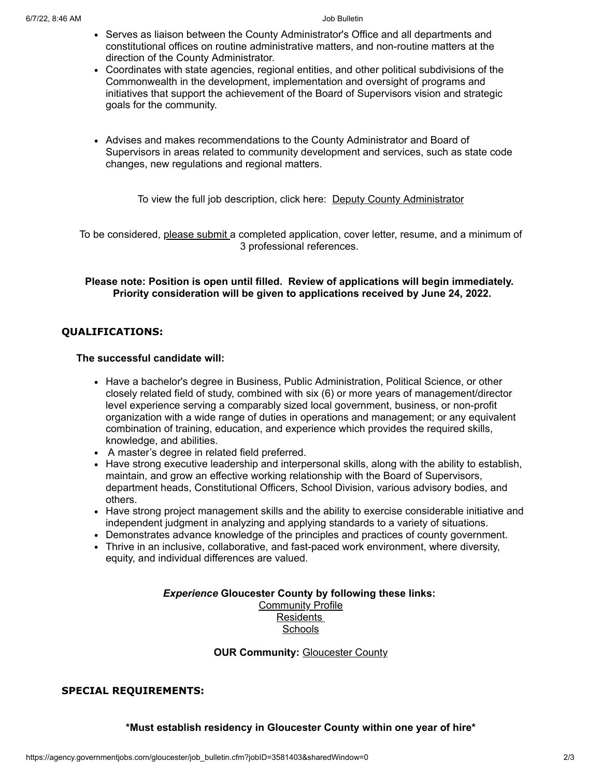- Serves as liaison between the County Administrator's Office and all departments and constitutional offices on routine administrative matters, and non-routine matters at the direction of the County Administrator.
- Coordinates with state agencies, regional entities, and other political subdivisions of the Commonwealth in the development, implementation and oversight of programs and initiatives that support the achievement of the Board of Supervisors vision and strategic goals for the community.
- Advises and makes recommendations to the County Administrator and Board of Supervisors in areas related to community development and services, such as state code changes, new regulations and regional matters.

To view the full job description, click here: [Deputy County Administrator](https://gloucesterva.info/DocumentCenter/View/9844/Deputy-County-Administrator-PDF)

To be considered, please submit a completed application, cover letter, resume, and a minimum of 3 professional references.

# **Please note: Position is open until filled. Review of applications will begin immediately. Priority consideration will be given to applications received by June 24, 2022.**

# **QUALIFICATIONS:**

# **The successful candidate will:**

- Have a bachelor's degree in Business, Public Administration, Political Science, or other closely related field of study, combined with six (6) or more years of management/director level experience serving a comparably sized local government, business, or non-profit organization with a wide range of duties in operations and management; or any equivalent combination of training, education, and experience which provides the required skills, knowledge, and abilities.
- A master's degree in related field preferred.
- Have strong executive leadership and interpersonal skills, along with the ability to establish, maintain, and grow an effective working relationship with the Board of Supervisors, department heads, Constitutional Officers, School Division, various advisory bodies, and others.
- Have strong project management skills and the ability to exercise considerable initiative and independent judgment in analyzing and applying standards to a variety of situations.
- Demonstrates advance knowledge of the principles and practices of county government.
- Thrive in an inclusive, collaborative, and fast-paced work environment, where diversity, equity, and individual differences are valued.

# *Experience* **Gloucester County by following these links:**

**[Community Profile](https://gloucesterva.info/31/Community)** [Residents](https://gloucesterva.info/586/Residents) **[Schools](https://gets.gc.k12.va.us/)** 

# **OUR Community: [Gloucester County](https://www.youtube.com/watch?v=TsF6F-2eOv8&t=2s)**

# **SPECIAL REQUIREMENTS:**

**\*Must establish residency in Gloucester County within one year of hire\***